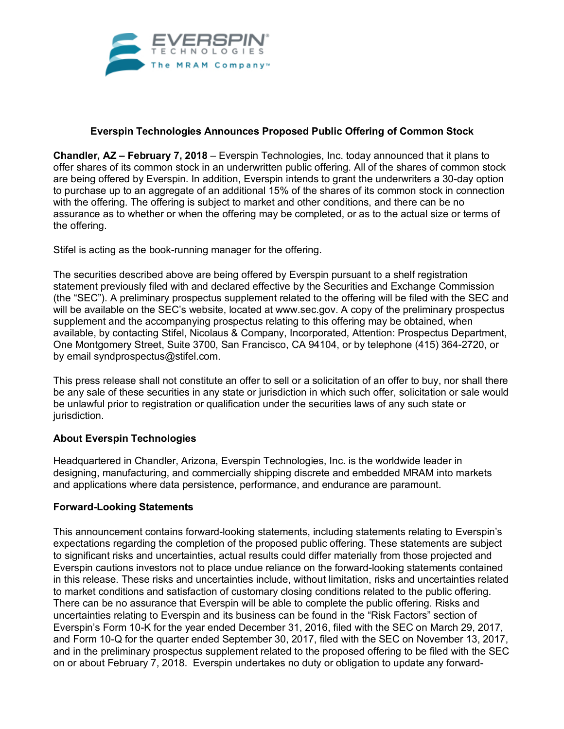

## **Everspin Technologies Announces Proposed Public Offering of Common Stock**

**Chandler, AZ – February 7, 2018** – Everspin Technologies, Inc. today announced that it plans to offer shares of its common stock in an underwritten public offering. All of the shares of common stock are being offered by Everspin. In addition, Everspin intends to grant the underwriters a 30-day option to purchase up to an aggregate of an additional 15% of the shares of its common stock in connection with the offering. The offering is subject to market and other conditions, and there can be no assurance as to whether or when the offering may be completed, or as to the actual size or terms of the offering.

Stifel is acting as the book-running manager for the offering.

The securities described above are being offered by Everspin pursuant to a shelf registration statement previously filed with and declared effective by the Securities and Exchange Commission (the "SEC"). A preliminary prospectus supplement related to the offering will be filed with the SEC and will be available on the SEC's website, located at www.sec.gov. A copy of the preliminary prospectus supplement and the accompanying prospectus relating to this offering may be obtained, when available, by contacting Stifel, Nicolaus & Company, Incorporated, Attention: Prospectus Department, One Montgomery Street, Suite 3700, San Francisco, CA 94104, or by telephone (415) 364-2720, or by email syndprospectus@stifel.com.

This press release shall not constitute an offer to sell or a solicitation of an offer to buy, nor shall there be any sale of these securities in any state or jurisdiction in which such offer, solicitation or sale would be unlawful prior to registration or qualification under the securities laws of any such state or jurisdiction.

## **About Everspin Technologies**

Headquartered in Chandler, Arizona, Everspin Technologies, Inc. is the worldwide leader in designing, manufacturing, and commercially shipping discrete and embedded MRAM into markets and applications where data persistence, performance, and endurance are paramount.

## **Forward-Looking Statements**

This announcement contains forward-looking statements, including statements relating to Everspin's expectations regarding the completion of the proposed public offering. These statements are subject to significant risks and uncertainties, actual results could differ materially from those projected and Everspin cautions investors not to place undue reliance on the forward-looking statements contained in this release. These risks and uncertainties include, without limitation, risks and uncertainties related to market conditions and satisfaction of customary closing conditions related to the public offering. There can be no assurance that Everspin will be able to complete the public offering. Risks and uncertainties relating to Everspin and its business can be found in the "Risk Factors" section of Everspin's Form 10-K for the year ended December 31, 2016, filed with the SEC on March 29, 2017, and Form 10-Q for the quarter ended September 30, 2017, filed with the SEC on November 13, 2017, and in the preliminary prospectus supplement related to the proposed offering to be filed with the SEC on or about February 7, 2018. Everspin undertakes no duty or obligation to update any forward